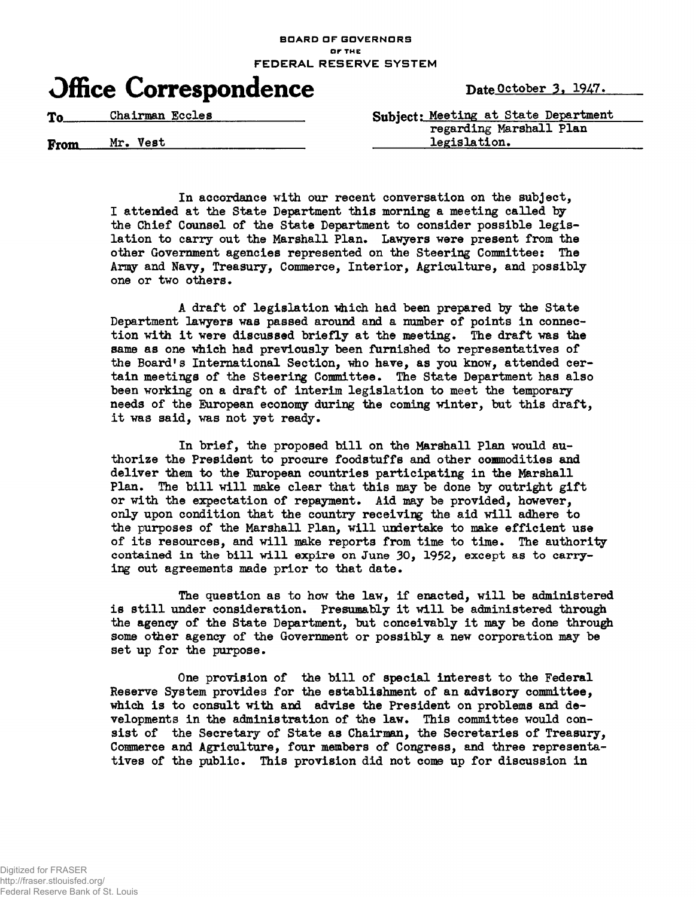## **BOARD OF GOVERNORS or THE FEDERAL RESERVE SYSTEM**



From Mr. Vest legislation.

To Chairman Eccles Subject: Meeting at State Department regarding Marshall Plan

> In accordance with our recent conversation on the subject, I attended at the State Department this morning a meeting called by the Chief Counsel of the State Department to consider possible legislation to carry out the Marshall Plan. Lawyers were present from the other Government agencies represented on the Steering Committee: The Army and Navy, Treasury, Commerce, Interior, Agriculture, and possibly one or two others.

A draft of legislation which had been prepared by the State Department lawyers was passed around and a number of points in connection with it were discussed briefly at the meeting. The draft was the same as one which had previously been furnished to representatives of the Board's International Section, who have, as you know, attended certain meetings of the Steering Committee. The State Department has also been working on a draft of interim legislation to meet the temporary needs of the European economy during the coming winter, bat this draft, it was said, was not yet ready.

In brief, the proposed bill on the Marshall Plan would authorize the President to procure foodstuffs and other commodities and deliver them to the European countries participating in the Marshall Plan. The bill will make clear that this may be done by outright gift or with the expectation of repayment. Aid may be provided, however, only upon condition that the country receiving the aid will adhere to the purposes of the Marshall Plan, will undertake to make efficient use of its resources, and will make reports from time to time. The authority contained in the bill will expire on June 30, 1952, except as to carrying out agreements made prior to that date.

The question as to how the law, if enacted, will be administered is still under consideration. Presumably it will be administered through the agency of the State Department, but conceivably it may be done through some other agency of the Government or possibly a new corporation may be set up for the purpose.

One provision of the bill of special interest to the Federal Reserve System provides for the establishment of an advisory committee, which is to consult with and advise the President on problems and developments in the administration of the law. This committee would consist of the Secretary of State as Chairman, the Secretaries of Treasury, Commerce and Agriculture, four members of Congress, and three representatives of the public. This provision did not come up for discussion in